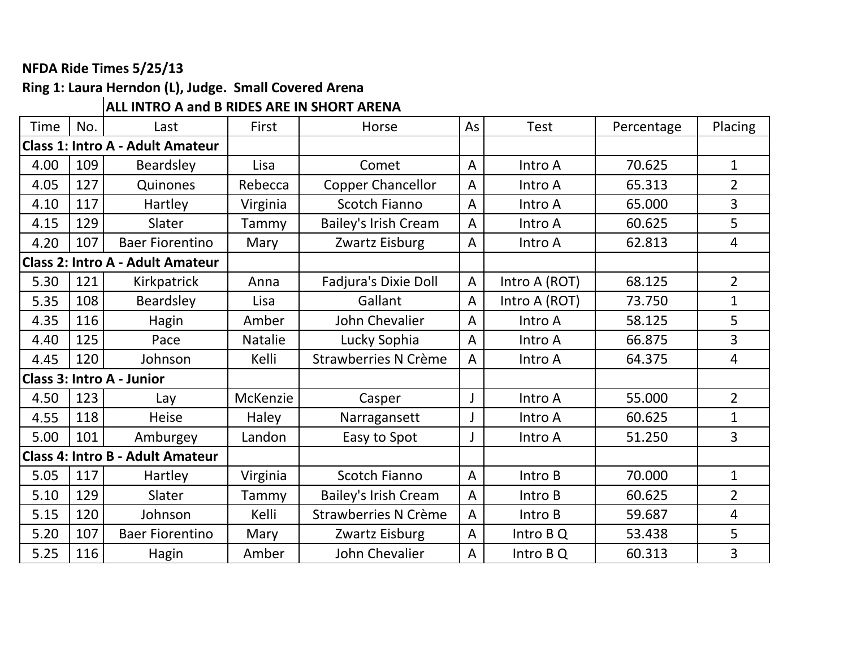### **NFDA Ride Times 5/25/13**

## **Ring 1: Laura Herndon (L), Judge. Small Covered Arena**

### **ALL INTRO A and B RIDES ARE IN SHORT ARENA**

| <b>Time</b> | No. | Last                                    | First          | Horse                       | As             | <b>Test</b>   | Percentage | Placing        |
|-------------|-----|-----------------------------------------|----------------|-----------------------------|----------------|---------------|------------|----------------|
|             |     | <b>Class 1: Intro A - Adult Amateur</b> |                |                             |                |               |            |                |
| 4.00        | 109 | Beardsley                               | Lisa           | Comet                       | $\overline{A}$ | Intro A       | 70.625     | $\mathbf{1}$   |
| 4.05        | 127 | Quinones                                | Rebecca        | <b>Copper Chancellor</b>    | $\overline{A}$ | Intro A       | 65.313     | $\overline{2}$ |
| 4.10        | 117 | Hartley                                 | Virginia       | <b>Scotch Fianno</b>        | $\overline{A}$ | Intro A       | 65.000     | 3              |
| 4.15        | 129 | Slater                                  | Tammy          | <b>Bailey's Irish Cream</b> | $\overline{A}$ | Intro A       | 60.625     | 5              |
| 4.20        | 107 | <b>Baer Fiorentino</b>                  | Mary           | Zwartz Eisburg              | $\overline{A}$ | Intro A       | 62.813     | 4              |
|             |     | <b>Class 2: Intro A - Adult Amateur</b> |                |                             |                |               |            |                |
| 5.30        | 121 | Kirkpatrick                             | Anna           | Fadjura's Dixie Doll        | A              | Intro A (ROT) | 68.125     | $\overline{2}$ |
| 5.35        | 108 | Beardsley                               | Lisa           | Gallant                     | A              | Intro A (ROT) | 73.750     | $\mathbf{1}$   |
| 4.35        | 116 | Hagin                                   | Amber          | John Chevalier              | $\overline{A}$ | Intro A       | 58.125     | 5              |
| 4.40        | 125 | Pace                                    | <b>Natalie</b> | Lucky Sophia                | $\overline{A}$ | Intro A       | 66.875     | 3              |
| 4.45        | 120 | Johnson                                 | Kelli          | Strawberries N Crème        | A              | Intro A       | 64.375     | 4              |
|             |     | <b>Class 3: Intro A - Junior</b>        |                |                             |                |               |            |                |
| 4.50        | 123 | Lay                                     | McKenzie       | Casper                      |                | Intro A       | 55.000     | $\overline{2}$ |
| 4.55        | 118 | <b>Heise</b>                            | Haley          | Narragansett                |                | Intro A       | 60.625     | $\mathbf{1}$   |
| 5.00        | 101 | Amburgey                                | Landon         | Easy to Spot                | J              | Intro A       | 51.250     | 3              |
|             |     | <b>Class 4: Intro B - Adult Amateur</b> |                |                             |                |               |            |                |
| 5.05        | 117 | Hartley                                 | Virginia       | <b>Scotch Fianno</b>        | $\overline{A}$ | Intro B       | 70.000     | $\mathbf{1}$   |
| 5.10        | 129 | Slater                                  | Tammy          | <b>Bailey's Irish Cream</b> | $\overline{A}$ | Intro B       | 60.625     | $\overline{2}$ |
| 5.15        | 120 | Johnson                                 | Kelli          | <b>Strawberries N Crème</b> | A              | Intro B       | 59.687     | 4              |
| 5.20        | 107 | <b>Baer Fiorentino</b>                  | Mary           | Zwartz Eisburg              | $\overline{A}$ | Intro B Q     | 53.438     | 5              |
| 5.25        | 116 | Hagin                                   | Amber          | John Chevalier              | A              | Intro B Q     | 60.313     | 3              |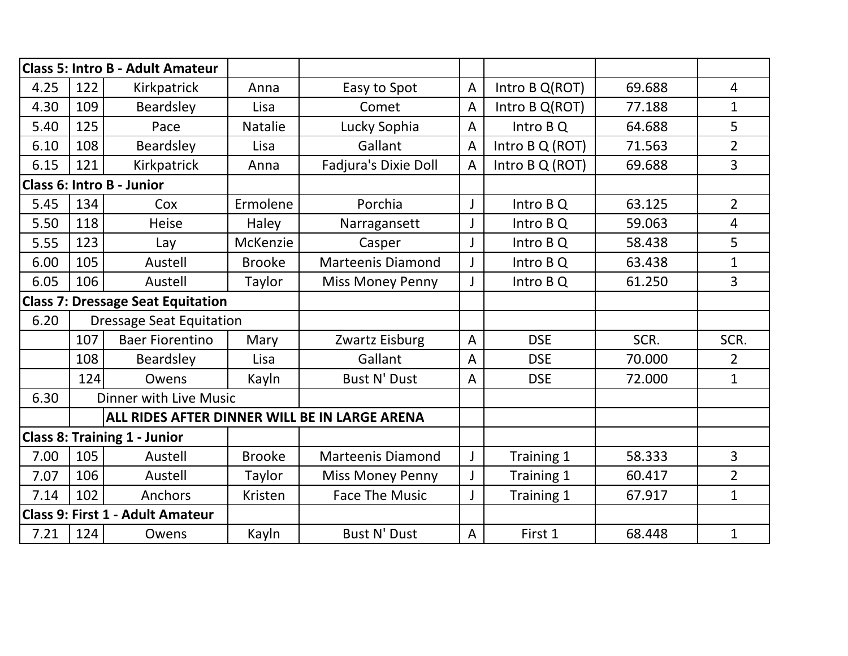|      |     | <b>Class 5: Intro B - Adult Amateur</b>  |                |                                               |                |                 |        |                |
|------|-----|------------------------------------------|----------------|-----------------------------------------------|----------------|-----------------|--------|----------------|
| 4.25 | 122 | Kirkpatrick                              | Anna           | Easy to Spot                                  | $\overline{A}$ | Intro B Q(ROT)  | 69.688 | $\overline{4}$ |
| 4.30 | 109 | Beardsley                                | Lisa           | Comet                                         | $\overline{A}$ | Intro B Q(ROT)  | 77.188 | $\mathbf{1}$   |
| 5.40 | 125 | Pace                                     | <b>Natalie</b> | Lucky Sophia                                  | $\overline{A}$ | Intro BQ        | 64.688 | 5              |
| 6.10 | 108 | Beardsley                                | Lisa           | Gallant                                       | $\overline{A}$ | Intro B Q (ROT) | 71.563 | $\overline{2}$ |
| 6.15 | 121 | Kirkpatrick                              | Anna           | Fadjura's Dixie Doll                          | $\overline{A}$ | Intro B Q (ROT) | 69.688 | 3              |
|      |     | <b>Class 6: Intro B - Junior</b>         |                |                                               |                |                 |        |                |
| 5.45 | 134 | Cox                                      | Ermolene       | Porchia                                       | J              | Intro B Q       | 63.125 | $\overline{2}$ |
| 5.50 | 118 | Heise                                    | Haley          | Narragansett                                  | J              | Intro B Q       | 59.063 | 4              |
| 5.55 | 123 | Lay                                      | McKenzie       | Casper                                        | J              | Intro B Q       | 58.438 | 5              |
| 6.00 | 105 | Austell                                  | <b>Brooke</b>  | <b>Marteenis Diamond</b>                      | J              | Intro BQ        | 63.438 | $\mathbf{1}$   |
| 6.05 | 106 | Austell                                  | Taylor         | <b>Miss Money Penny</b>                       | J              | Intro B Q       | 61.250 | 3              |
|      |     | <b>Class 7: Dressage Seat Equitation</b> |                |                                               |                |                 |        |                |
| 6.20 |     | <b>Dressage Seat Equitation</b>          |                |                                               |                |                 |        |                |
|      | 107 | <b>Baer Fiorentino</b>                   | Mary           | Zwartz Eisburg                                | A              | <b>DSE</b>      | SCR.   | SCR.           |
|      | 108 | <b>Beardsley</b>                         | Lisa           | Gallant                                       | $\overline{A}$ | <b>DSE</b>      | 70.000 | $\overline{2}$ |
|      | 124 | Owens                                    | Kayln          | <b>Bust N' Dust</b>                           | $\overline{A}$ | <b>DSE</b>      | 72.000 | $\mathbf{1}$   |
| 6.30 |     | Dinner with Live Music                   |                |                                               |                |                 |        |                |
|      |     |                                          |                | ALL RIDES AFTER DINNER WILL BE IN LARGE ARENA |                |                 |        |                |
|      |     | <b>Class 8: Training 1 - Junior</b>      |                |                                               |                |                 |        |                |
| 7.00 | 105 | Austell                                  | <b>Brooke</b>  | <b>Marteenis Diamond</b>                      | J              | Training 1      | 58.333 | 3              |
| 7.07 | 106 | Austell                                  | Taylor         | <b>Miss Money Penny</b>                       | J              | Training 1      | 60.417 | $\overline{2}$ |
| 7.14 | 102 | Anchors                                  | Kristen        | <b>Face The Music</b>                         | J              | Training 1      | 67.917 | $\mathbf{1}$   |
|      |     | <b>Class 9: First 1 - Adult Amateur</b>  |                |                                               |                |                 |        |                |
| 7.21 | 124 | Owens                                    | Kayln          | <b>Bust N' Dust</b>                           | $\overline{A}$ | First 1         | 68.448 | $\mathbf{1}$   |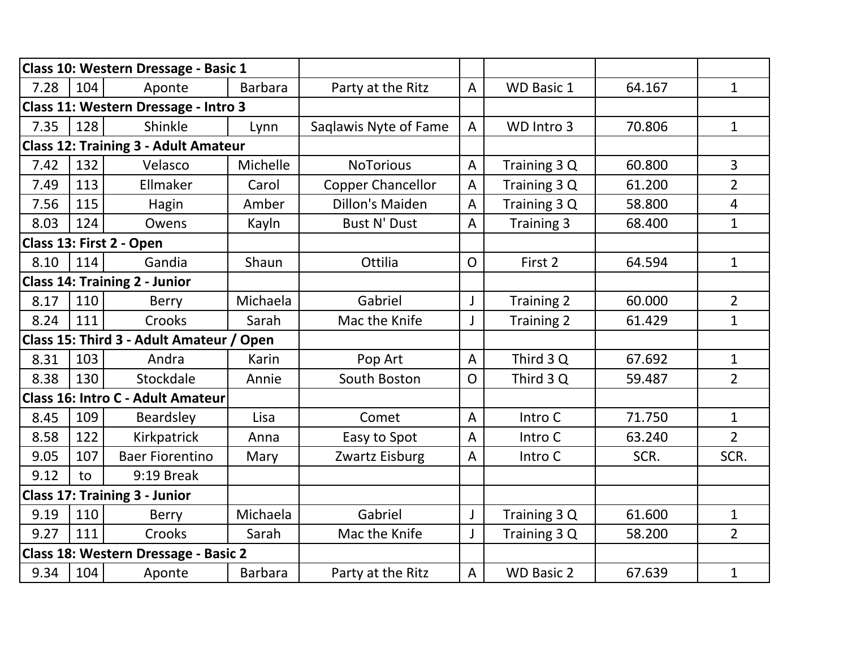|      |     | Class 10: Western Dressage - Basic 1        |                |                          |                |                   |        |                |
|------|-----|---------------------------------------------|----------------|--------------------------|----------------|-------------------|--------|----------------|
| 7.28 | 104 | Aponte                                      | <b>Barbara</b> | Party at the Ritz        | $\overline{A}$ | <b>WD Basic 1</b> | 64.167 | $\mathbf{1}$   |
|      |     | Class 11: Western Dressage - Intro 3        |                |                          |                |                   |        |                |
| 7.35 | 128 | Shinkle                                     | Lynn           | Saqlawis Nyte of Fame    | $\overline{A}$ | WD Intro 3        | 70.806 | $\mathbf{1}$   |
|      |     | <b>Class 12: Training 3 - Adult Amateur</b> |                |                          |                |                   |        |                |
| 7.42 | 132 | Velasco                                     | Michelle       | <b>NoTorious</b>         | $\overline{A}$ | Training 3 Q      | 60.800 | $\overline{3}$ |
| 7.49 | 113 | Ellmaker                                    | Carol          | <b>Copper Chancellor</b> | $\overline{A}$ | Training 3 Q      | 61.200 | $\overline{2}$ |
| 7.56 | 115 | Hagin                                       | Amber          | <b>Dillon's Maiden</b>   | $\mathsf{A}$   | Training 3 Q      | 58.800 | $\overline{4}$ |
| 8.03 | 124 | Owens                                       | Kayln          | <b>Bust N' Dust</b>      | $\overline{A}$ | Training 3        | 68.400 | $\mathbf{1}$   |
|      |     | Class 13: First 2 - Open                    |                |                          |                |                   |        |                |
| 8.10 | 114 | Gandia                                      | Shaun          | Ottilia                  | $\mathsf{O}$   | First 2           | 64.594 | $\mathbf{1}$   |
|      |     | <b>Class 14: Training 2 - Junior</b>        |                |                          |                |                   |        |                |
| 8.17 | 110 | <b>Berry</b>                                | Michaela       | Gabriel                  | J              | Training 2        | 60.000 | $\overline{2}$ |
| 8.24 | 111 | Crooks                                      | Sarah          | Mac the Knife            | J              | <b>Training 2</b> | 61.429 | $\mathbf{1}$   |
|      |     | Class 15: Third 3 - Adult Amateur / Open    |                |                          |                |                   |        |                |
| 8.31 | 103 | Andra                                       | Karin          | Pop Art                  | $\overline{A}$ | Third 3 Q         | 67.692 | $\mathbf{1}$   |
| 8.38 | 130 | Stockdale                                   | Annie          | South Boston             | $\overline{O}$ | Third 3 Q         | 59.487 | $\overline{2}$ |
|      |     | Class 16: Intro C - Adult Amateur           |                |                          |                |                   |        |                |
| 8.45 | 109 | Beardsley                                   | Lisa           | Comet                    | $\overline{A}$ | Intro C           | 71.750 | $\mathbf{1}$   |
| 8.58 | 122 | Kirkpatrick                                 | Anna           | Easy to Spot             | $\overline{A}$ | Intro C           | 63.240 | $\overline{2}$ |
| 9.05 | 107 | <b>Baer Fiorentino</b>                      | Mary           | Zwartz Eisburg           | A              | Intro C           | SCR.   | SCR.           |
| 9.12 | to  | 9:19 Break                                  |                |                          |                |                   |        |                |
|      |     | <b>Class 17: Training 3 - Junior</b>        |                |                          |                |                   |        |                |
| 9.19 | 110 | <b>Berry</b>                                | Michaela       | Gabriel                  | J              | Training 3 Q      | 61.600 | $\mathbf{1}$   |
| 9.27 | 111 | Crooks                                      | Sarah          | Mac the Knife            | J              | Training 3 Q      | 58.200 | $\overline{2}$ |
|      |     | Class 18: Western Dressage - Basic 2        |                |                          |                |                   |        |                |
| 9.34 | 104 | Aponte                                      | <b>Barbara</b> | Party at the Ritz        | $\overline{A}$ | <b>WD Basic 2</b> | 67.639 | $\mathbf{1}$   |